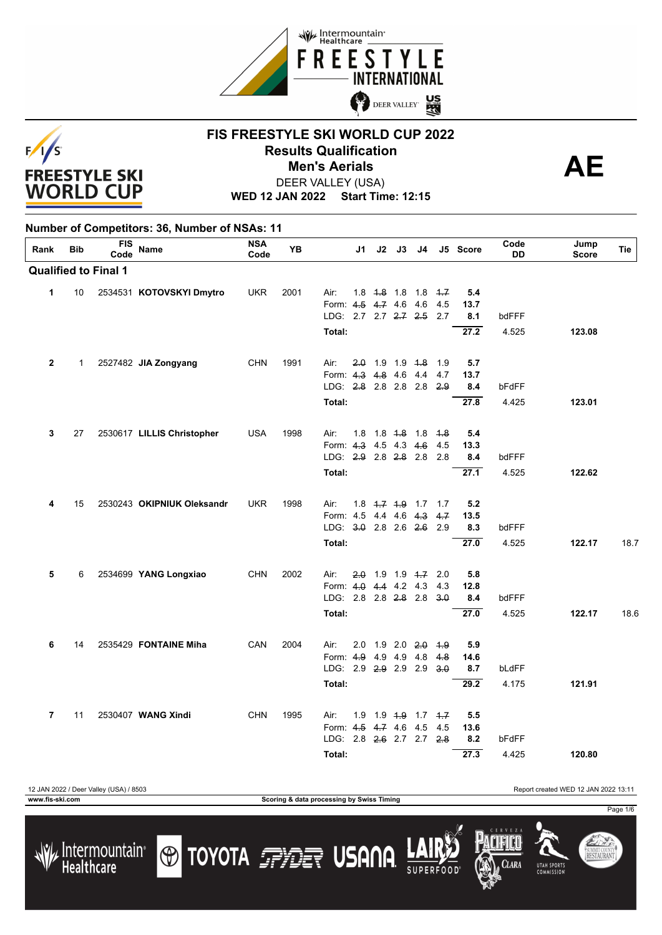



### **FIS FREESTYLE SKI WORLD CUP 2022 Results Qualification**<br> **AE Men's Aerials**

Page 1/6

SUMMIT COUNTY<br>**RESTAURANT** 

**CLARA** 

**UTAH SPORT** 

DEER VALLEY (USA)

**WED 12 JAN 2022 Start Time: 12:15**

| Rank                    | <b>Bib</b> | <b>FIS</b><br>Code          | <b>Name</b>                | <b>NSA</b><br>Code | YB   | J1                       | J2                      | J3                                    | J4          |       | J5 Score | Code<br>DD | Jump<br><b>Score</b> | Tie  |
|-------------------------|------------|-----------------------------|----------------------------|--------------------|------|--------------------------|-------------------------|---------------------------------------|-------------|-------|----------|------------|----------------------|------|
|                         |            | <b>Qualified to Final 1</b> |                            |                    |      |                          |                         |                                       |             |       |          |            |                      |      |
| 1                       | 10         |                             | 2534531 KOTOVSKYI Dmytro   | <b>UKR</b>         | 2001 | Air:                     | $1.8 + 1.8 + 1.8$       |                                       | $1.8 + 7.7$ |       | 5.4      |            |                      |      |
|                         |            |                             |                            |                    |      | Form: 4.5                |                         | $4 - 74.6$                            | -4.6        | 4.5   | 13.7     |            |                      |      |
|                         |            |                             |                            |                    |      | LDG: 2.7 2.7 2.7 2.5     |                         |                                       |             | 2.7   | 8.1      | bdFFF      |                      |      |
|                         |            |                             |                            |                    |      | Total:                   |                         |                                       |             |       | 27.2     | 4.525      | 123.08               |      |
| $\mathbf{2}$            | 1          |                             | 2527482 JIA Zongyang       | <b>CHN</b>         | 1991 | Air:                     | $2.0$ 1.9 1.9 4.8       |                                       |             | - 1.9 | 5.7      |            |                      |      |
|                         |            |                             |                            |                    |      | Form: 4.3 4.8 4.6 4.4    |                         |                                       |             | 4.7   | 13.7     |            |                      |      |
|                         |            |                             |                            |                    |      | LDG: 2.8 2.8 2.8 2.8     |                         |                                       |             | 2.9   | 8.4      | bFdFF      |                      |      |
|                         |            |                             |                            |                    |      | Total:                   |                         |                                       |             |       | 27.8     | 4.425      | 123.01               |      |
| 3                       | 27         |                             | 2530617 LILLIS Christopher | <b>USA</b>         | 1998 | Air:<br>1.8              |                         | 1.8 <del>1.8</del> 1.8 <del>1.8</del> |             |       | 5.4      |            |                      |      |
|                         |            |                             |                            |                    |      | Form: 4.3 4.5 4.3 4.6    |                         |                                       |             | 4.5   | 13.3     |            |                      |      |
|                         |            |                             |                            |                    |      | LDG: 2.9 2.8 2.8 2.8 2.8 |                         |                                       |             |       | 8.4      | bdFFF      |                      |      |
|                         |            |                             |                            |                    |      | Total:                   |                         |                                       |             |       | 27.1     | 4.525      | 122.62               |      |
| 4                       | 15         |                             | 2530243 OKIPNIUK Oleksandr | <b>UKR</b>         | 1998 | Air:                     | $1.8$ $4.7$ $4.9$ $1.7$ |                                       |             | 1.7   | 5.2      |            |                      |      |
|                         |            |                             |                            |                    |      | Form: 4.5 4.4 4.6 4.3    |                         |                                       |             | 4.7   | 13.5     |            |                      |      |
|                         |            |                             |                            |                    |      | LDG: 3.0 2.8 2.6 2.6     |                         |                                       |             | 2.9   | 8.3      | bdFFF      |                      |      |
|                         |            |                             |                            |                    |      | Total:                   |                         |                                       |             |       | 27.0     | 4.525      | 122.17               | 18.7 |
| 5                       | 6          |                             | 2534699 YANG Longxiao      | <b>CHN</b>         | 2002 | 2.0<br>Air:              |                         | 1.9 1.9 <del>1.7</del> 2.0            |             |       | 5.8      |            |                      |      |
|                         |            |                             |                            |                    |      | Form: 4.0 4.4 4.2 4.3    |                         |                                       |             | 4.3   | 12.8     |            |                      |      |
|                         |            |                             |                            |                    |      | LDG: 2.8 2.8 2.8 2.8     |                         |                                       |             | 3.0   | 8.4      | bdFFF      |                      |      |
|                         |            |                             |                            |                    |      | Total:                   |                         |                                       |             |       | 27.0     | 4.525      | 122.17               | 18.6 |
| 6                       | 14         |                             | 2535429 FONTAINE Miha      | CAN                | 2004 | 2.0<br>Air:              |                         | $1.9$ 2.0 $2.0$                       |             | 4.9   | 5.9      |            |                      |      |
|                         |            |                             |                            |                    |      | Form: 4.9 4.9 4.9 4.8    |                         |                                       |             | 4.8   | 14.6     |            |                      |      |
|                         |            |                             |                            |                    |      | LDG: 2.9 2.9 2.9 2.9     |                         |                                       |             | 3.0   | 8.7      | bLdFF      |                      |      |
|                         |            |                             |                            |                    |      | Total:                   |                         |                                       |             |       | 29.2     | 4.175      | 121.91               |      |
| $\overline{\mathbf{r}}$ | 11         |                             | 2530407 WANG Xindi         | <b>CHN</b>         | 1995 | Air:<br>1.9              |                         | 1.9 4.9 1.7 4.7                       |             |       | 5.5      |            |                      |      |
|                         |            |                             |                            |                    |      | Form: 4-5 4-7 4.6        |                         |                                       | 4.5         | 4.5   | 13.6     |            |                      |      |
|                         |            |                             |                            |                    |      | LDG: 2.8 2.6 2.7 2.7     |                         |                                       |             | 28    | 8.2      | bFdFF      |                      |      |
|                         |            |                             |                            |                    |      | Total:                   |                         |                                       |             |       | 27.3     | 4.425      | 120.80               |      |

12 JAN 2022 / Deer Valley (USA) / 8503 Report created WED 12 JAN 2022 13:11 **www.fis-ski.com Scoring & data processing by Swiss Timing**

**O TOYOTA FRIET USANA** 

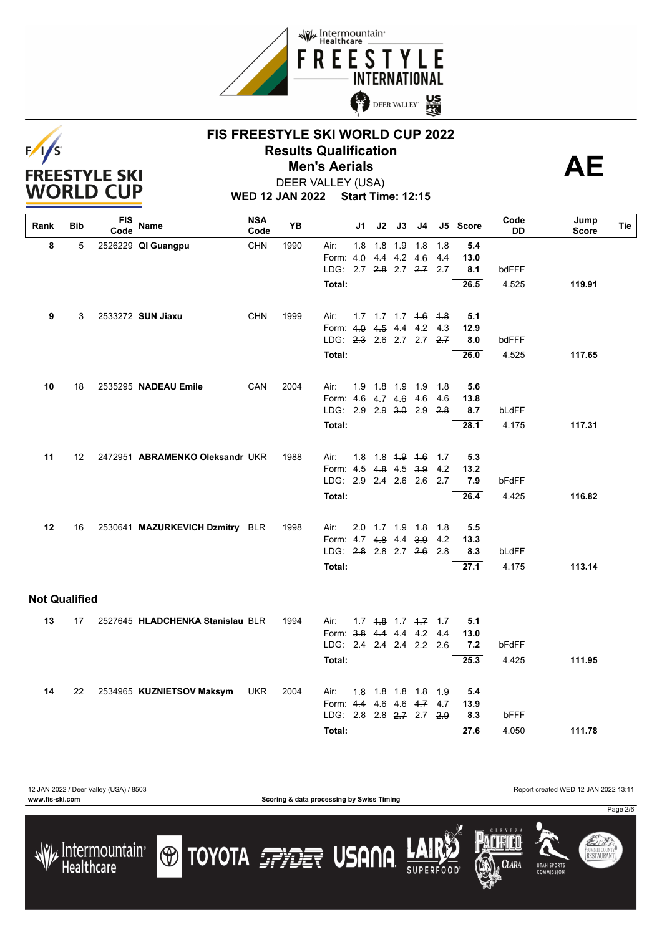

# $F/1/S$ **FREESTYLE SKI WORLD CUP**

### **FIS FREESTYLE SKI WORLD CUP 2022 Results Qualification**<br> **AE Men's Aerials**



**WED 12 JAN 2022 Start Time: 12:15** DEER VALLEY (USA)

| Rank                 | Bib               | <b>FIS</b><br>Code | Name                             | <b>NSA</b><br>Code | YB   |                               | J1  | J2 | J3              | J4                            |            | J5 Score    | Code<br>DD | Jump<br><b>Score</b> | Tie |
|----------------------|-------------------|--------------------|----------------------------------|--------------------|------|-------------------------------|-----|----|-----------------|-------------------------------|------------|-------------|------------|----------------------|-----|
| 8                    | 5                 |                    | 2526229 QI Guangpu               | <b>CHN</b>         | 1990 | Air:                          | 1.8 |    | $1.8 + 9$       | 1.8                           | 4.8        | 5.4         |            |                      |     |
|                      |                   |                    |                                  |                    |      | Form: 4.0                     |     |    | 4.4 4.2 4.6     |                               | 4.4        | 13.0        |            |                      |     |
|                      |                   |                    |                                  |                    |      | LDG: 2.7 2.8 2.7 2.7 2.7      |     |    |                 |                               |            | 8.1         | bdFFF      |                      |     |
|                      |                   |                    |                                  |                    |      | Total:                        |     |    |                 |                               |            | 26.5        | 4.525      | 119.91               |     |
| 9                    | 3                 |                    | 2533272 SUN Jiaxu                | <b>CHN</b>         | 1999 | Air:                          |     |    |                 | 1.7 1.7 1.7 4.6 4.8           |            | 5.1         |            |                      |     |
|                      |                   |                    |                                  |                    |      | Form 4.0 4.5 4.4 4.2 4.3      |     |    |                 |                               |            | 12.9        |            |                      |     |
|                      |                   |                    |                                  |                    |      | LDG: 2.3 2.6 2.7 2.7 2.7      |     |    |                 |                               |            | 8.0         | bdFFF      |                      |     |
|                      |                   |                    |                                  |                    |      | Total:                        |     |    |                 |                               |            | 26.0        | 4.525      | 117.65               |     |
|                      |                   |                    |                                  |                    | 2004 |                               |     |    |                 |                               |            |             |            |                      |     |
| 10                   | 18                |                    | 2535295 NADEAU Emile             | CAN                |      | Air:<br>Form: 4.6 4.7 4.6 4.6 |     |    | 4.9 4.8 1.9 1.9 |                               | 1.8<br>4.6 | 5.6<br>13.8 |            |                      |     |
|                      |                   |                    |                                  |                    |      | LDG: 2.9 2.9 3.0 2.9          |     |    |                 |                               | <b>2.8</b> | 8.7         | bLdFF      |                      |     |
|                      |                   |                    |                                  |                    |      | Total:                        |     |    |                 |                               |            | 28.1        | 4.175      | 117.31               |     |
|                      |                   |                    |                                  |                    |      |                               |     |    |                 |                               |            |             |            |                      |     |
| 11                   | $12 \overline{ }$ |                    | 2472951 ABRAMENKO Oleksandr UKR  |                    | 1988 | Air:                          |     |    |                 | 1.8 1.8 <del>1.9</del> 1.6    | 1.7        | 5.3         |            |                      |     |
|                      |                   |                    |                                  |                    |      | Form: 4.5 4.8 4.5 3.9         |     |    |                 |                               | 4.2        | 13.2        |            |                      |     |
|                      |                   |                    |                                  |                    |      | LDG: 2.9 2.4 2.6 2.6          |     |    |                 |                               | 2.7        | 7.9         | bFdFF      |                      |     |
|                      |                   |                    |                                  |                    |      | Total:                        |     |    |                 |                               |            | 26.4        | 4.425      | 116.82               |     |
|                      |                   |                    |                                  |                    |      |                               |     |    |                 |                               |            |             |            |                      |     |
| 12                   | 16                |                    | 2530641 MAZURKEVICH Dzmitry BLR  |                    | 1998 | Air:<br>Form: 4.7 4.8 4.4 3.9 |     |    |                 | $2.0 \t 1.7 \t 1.9 \t 1.8$    | 1.8<br>4.2 | 5.5<br>13.3 |            |                      |     |
|                      |                   |                    |                                  |                    |      | LDG: 2.8 2.8 2.7 2.6 2.8      |     |    |                 |                               |            | 8.3         | bLdFF      |                      |     |
|                      |                   |                    |                                  |                    |      | Total:                        |     |    |                 |                               |            | 27.1        | 4.175      | 113.14               |     |
|                      |                   |                    |                                  |                    |      |                               |     |    |                 |                               |            |             |            |                      |     |
| <b>Not Qualified</b> |                   |                    |                                  |                    |      |                               |     |    |                 |                               |            |             |            |                      |     |
| 13                   | 17                |                    | 2527645 HLADCHENKA Stanislau BLR |                    | 1994 | Air:                          |     |    |                 | $1.7$ $1.8$ $1.7$ $1.7$ $1.7$ |            | 5.1         |            |                      |     |
|                      |                   |                    |                                  |                    |      | Form: 3.8 4.4 4.4 4.2         |     |    |                 |                               | 4.4        | 13.0        |            |                      |     |
|                      |                   |                    |                                  |                    |      | LDG: 2.4 2.4 2.4 2.2 2.6      |     |    |                 |                               |            | 7.2         | bFdFF      |                      |     |
|                      |                   |                    |                                  |                    |      | Total:                        |     |    |                 |                               |            | 25.3        | 4.425      | 111.95               |     |
| 14                   | 22                |                    | 2534965 KUZNIETSOV Maksym        | <b>UKR</b>         | 2004 | Air:                          |     |    |                 | 4.8 1.8 1.8 1.8               | 4.9        | 5.4         |            |                      |     |
|                      |                   |                    |                                  |                    |      | Form: 4.4 4.6 4.6 4.7 4.7     |     |    |                 |                               |            | 13.9        |            |                      |     |
|                      |                   |                    |                                  |                    |      | LDG: 2.8 2.8 2.7 2.7 2.9      |     |    |                 |                               |            | 8.3         | bFFF       |                      |     |
|                      |                   |                    |                                  |                    |      | Total:                        |     |    |                 |                               |            | 27.6        | 4.050      | 111.78               |     |
|                      |                   |                    |                                  |                    |      |                               |     |    |                 |                               |            |             |            |                      |     |

12 JAN 2022 / Deer Valley (USA) / 8503 Report created WED 12 JAN 2022 13:11 **www.fis-ski.com Scoring & data processing by Swiss Timing** Page 2/6**TOYOTA FRIET USANA** SUMMIT COUNTY<br>**RESTAURANT** 





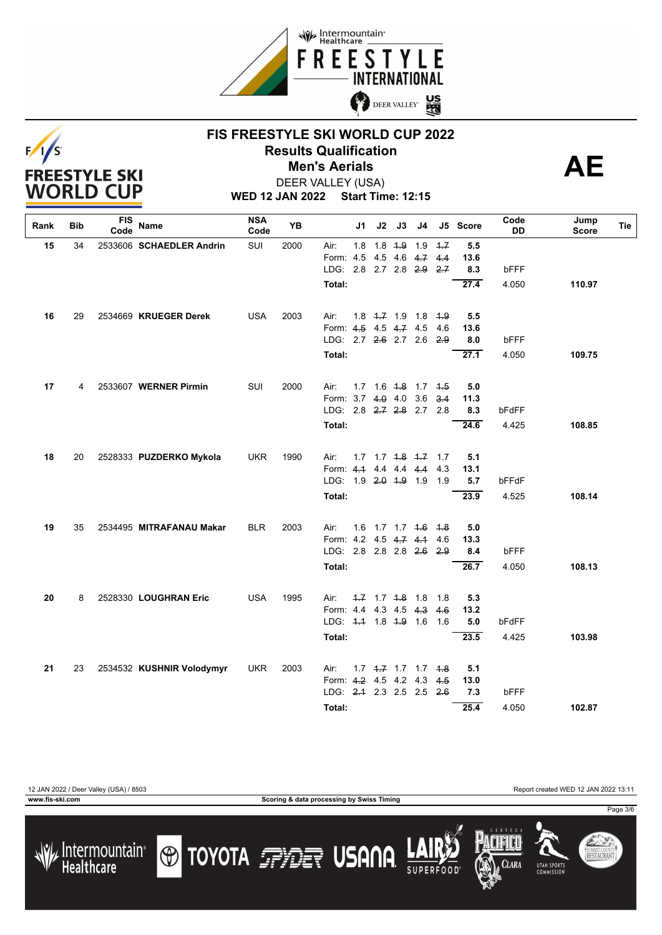



### **FIS FREESTYLE SKI WORLD CUP 2022 Results Qualification**<br> **AE Men's Aerials**



**WED 12 JAN 2022 Start Time: 12:15** DEER VALLEY (USA)

| Rank | Bib | FIS<br>Code | Name                      | <b>NSA</b><br>Code | <b>YB</b> |                         | J1  | J2 | J3         | J4                            |      | J5 Score          | Code<br>DD | Jump<br>Score | Tie |
|------|-----|-------------|---------------------------|--------------------|-----------|-------------------------|-----|----|------------|-------------------------------|------|-------------------|------------|---------------|-----|
| 15   | 34  |             | 2533606 SCHAEDLER Andrin  | SUI                | 2000      | Air:                    | 1.8 |    | $1.8 + .9$ | 1.9                           | $+7$ | 5.5               |            |               |     |
|      |     |             |                           |                    |           | Form: 4.5               |     |    |            | $4.5$ 4.6 $4.7$               | 4.4  | 13.6              |            |               |     |
|      |     |             |                           |                    |           | LDG: 2.8 2.7 2.8 2.9    |     |    |            |                               | 2.7  | 8.3               | bFFF       |               |     |
|      |     |             |                           |                    |           | Total:                  |     |    |            |                               |      | $\overline{27.4}$ | 4.050      | 110.97        |     |
| 16   | 29  |             | 2534669 KRUEGER Derek     | <b>USA</b>         | 2003      | Air:                    |     |    |            | $1.8$ $1.7$ $1.9$ $1.8$       | 4.9  | 5.5               |            |               |     |
|      |     |             |                           |                    |           | Form: 4.5 4.5 4.7 4.5   |     |    |            |                               | 4.6  | 13.6              |            |               |     |
|      |     |             |                           |                    |           | LDG: 2.7 2.6 2.7 2.6    |     |    |            |                               | 2.9  | 8.0               | bFFF       |               |     |
|      |     |             |                           |                    |           | Total:                  |     |    |            |                               |      | 27.1              | 4.050      | 109.75        |     |
| 17   | 4   |             | 2533607 WERNER Pirmin     | SUI                | 2000      | Air:                    |     |    |            | 1.7 1.6 4.8 1.7 4.5           |      | 5.0               |            |               |     |
|      |     |             |                           |                    |           | Form: 3.7 4.0 4.0       |     |    |            | 3.6                           | 3.4  | 11.3              |            |               |     |
|      |     |             |                           |                    |           | LDG: 2.8 2.7 2.8 2.7    |     |    |            |                               | 2.8  | 8.3               | bFdFF      |               |     |
|      |     |             |                           |                    |           | Total:                  |     |    |            |                               |      | 24.6              | 4.425      | 108.85        |     |
| 18   | 20  |             | 2528333 PUZDERKO Mykola   | <b>UKR</b>         | 1990      | Air:                    |     |    |            | $1.7$ $1.7$ $1.8$ $1.7$ $1.7$ |      | 5.1               |            |               |     |
|      |     |             |                           |                    |           | Form: 4.1 4.4 4.4 4.4   |     |    |            |                               | 4.3  | 13.1              |            |               |     |
|      |     |             |                           |                    |           | LDG: 1.9 2.0 1.9 1.9    |     |    |            |                               | 1.9  | 5.7               | bFFdF      |               |     |
|      |     |             |                           |                    |           | Total:                  |     |    |            |                               |      | 23.9              | 4.525      | 108.14        |     |
| 19   | 35  |             | 2534495 MITRAFANAU Makar  | <b>BLR</b>         | 2003      | Air:                    |     |    |            | 1.6 1.7 1.7 4.6 4.8           |      | 5.0               |            |               |     |
|      |     |             |                           |                    |           | Form: 4.2 4.5 4.7 4.1   |     |    |            |                               | 4.6  | 13.3              |            |               |     |
|      |     |             |                           |                    |           | LDG: 2.8 2.8 2.8 2.6    |     |    |            |                               | 2.9  | 8.4               | bFFF       |               |     |
|      |     |             |                           |                    |           | Total:                  |     |    |            |                               |      | 26.7              | 4.050      | 108.13        |     |
| 20   | 8   |             | 2528330 LOUGHRAN Eric     | <b>USA</b>         | 1995      | Air:                    |     |    |            | $-1.7$ $-1.8$ 1.8             | 1.8  | 5.3               |            |               |     |
|      |     |             |                           |                    |           | Form: 4.4 4.3 4.5 4.3   |     |    |            |                               | 4.6  | 13.2              |            |               |     |
|      |     |             |                           |                    |           | LDG: 44 1.8 4.9 1.6 1.6 |     |    |            |                               |      | 5.0               | bFdFF      |               |     |
|      |     |             |                           |                    |           | Total:                  |     |    |            |                               |      | 23.5              | 4.425      | 103.98        |     |
| 21   | 23  |             | 2534532 KUSHNIR Volodymyr | <b>UKR</b>         | 2003      | Air:                    |     |    |            | $1.7$ $4.7$ $1.7$ $1.7$       | 4.8  | 5.1               |            |               |     |
|      |     |             |                           |                    |           | Form: 4.2 4.5 4.2 4.3   |     |    |            |                               | 4.5  | 13.0              |            |               |     |
|      |     |             |                           |                    |           | LDG: 2.4 2.3 2.5 2.5    |     |    |            |                               | 2.6  | 7.3               | bFFF       |               |     |
|      |     |             |                           |                    |           | Total:                  |     |    |            |                               |      | 25.4              | 4.050      | 102.87        |     |
|      |     |             |                           |                    |           |                         |     |    |            |                               |      |                   |            |               |     |



**www.fis-ski.com Scoring & data processing by Swiss Timing**

Page 3/6









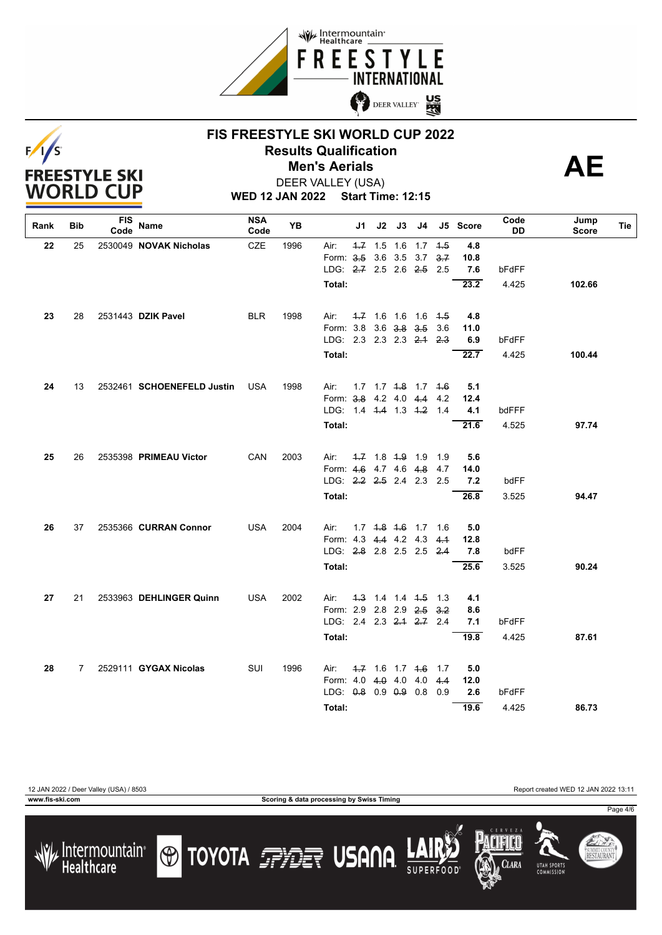

# $F/I/S$ **FREESTYLE SKI WORLD CUP**

### **FIS FREESTYLE SKI WORLD CUP 2022 Results Qualification**<br> **AE Men's Aerials**



**WED 12 JAN 2022 Start Time: 12:15** DEER VALLEY (USA)

| Rank | Bib | FIS<br>Code | Name                       | <b>NSA</b><br>Code | YB   |                          | J1  | J2        | J3                  | J4                            |     | J5 Score | Code<br>DD | Jump<br><b>Score</b> | Tie |
|------|-----|-------------|----------------------------|--------------------|------|--------------------------|-----|-----------|---------------------|-------------------------------|-----|----------|------------|----------------------|-----|
| 22   | 25  |             | 2530049 NOVAK Nicholas     | <b>CZE</b>         | 1996 | Air:                     | 4.7 | 1.5 1.6   |                     | 1.7                           | 4.5 | 4.8      |            |                      |     |
|      |     |             |                            |                    |      | Form: 3.5                |     |           | 3.6 3.5 3.7         |                               | 3.7 | 10.8     |            |                      |     |
|      |     |             |                            |                    |      | LDG: 2.7 2.5 2.6 2.5     |     |           |                     |                               | 2.5 | 7.6      | bFdFF      |                      |     |
|      |     |             |                            |                    |      | Total:                   |     |           |                     |                               |     | 23.2     | 4.425      | 102.66               |     |
| 23   | 28  |             | 2531443 DZIK Pavel         | <b>BLR</b>         | 1998 | Air:                     |     |           |                     | $1.7$ 1.6 1.6 1.6             | 4.5 | 4.8      |            |                      |     |
|      |     |             |                            |                    |      | Form: 3.8 3.6 3.8 3.5    |     |           |                     |                               | 3.6 | 11.0     |            |                      |     |
|      |     |             |                            |                    |      | LDG: 2.3 2.3 2.3 2.4     |     |           |                     |                               | 2.3 | 6.9      | bFdFF      |                      |     |
|      |     |             |                            |                    |      | Total:                   |     |           |                     |                               |     | 22.7     | 4.425      | 100.44               |     |
| 24   | 13  |             | 2532461 SCHOENEFELD Justin | <b>USA</b>         | 1998 | Air:                     |     |           |                     | $1.7$ $1.7$ $4.8$ $1.7$ $4.6$ |     | 5.1      |            |                      |     |
|      |     |             |                            |                    |      | Form: 3.8 4.2 4.0 4.4    |     |           |                     |                               | 4.2 | 12.4     |            |                      |     |
|      |     |             |                            |                    |      | LDG: 1.4 4.4 1.3 4.2 1.4 |     |           |                     |                               |     | 4.1      | bdFFF      |                      |     |
|      |     |             |                            |                    |      | Total:                   |     |           |                     |                               |     | 21.6     | 4.525      | 97.74                |     |
| 25   | 26  |             | 2535398 PRIMEAU Victor     | CAN                | 2003 | Air:                     |     |           | $1.7$ 1.8 $1.9$ 1.9 |                               | 1.9 | 5.6      |            |                      |     |
|      |     |             |                            |                    |      | Form: 4.6 4.7 4.6 4.8    |     |           |                     |                               | 4.7 | 14.0     |            |                      |     |
|      |     |             |                            |                    |      | LDG: $2.2$ $2.5$ 2.4 2.3 |     |           |                     |                               | 2.5 | 7.2      | bdFF       |                      |     |
|      |     |             |                            |                    |      | Total:                   |     |           |                     |                               |     | 26.8     | 3.525      | 94.47                |     |
| 26   | 37  |             | 2535366 CURRAN Connor      | <b>USA</b>         | 2004 | Air:                     |     |           |                     | $1.7$ $1.8$ $1.6$ $1.7$       | 1.6 | 5.0      |            |                      |     |
|      |     |             |                            |                    |      | Form: 4.3 4.4 4.2 4.3    |     |           |                     |                               | 4.1 | 12.8     |            |                      |     |
|      |     |             |                            |                    |      | LDG: 2.8 2.8 2.5 2.5 2.4 |     |           |                     |                               |     | 7.8      | bdFF       |                      |     |
|      |     |             |                            |                    |      | Total:                   |     |           |                     |                               |     | 25.6     | 3.525      | 90.24                |     |
| 27   | 21  |             | 2533963 DEHLINGER Quinn    | <b>USA</b>         | 2002 | Air:                     |     |           |                     | 4.3 1.4 1.4 4.5               | 1.3 | 4.1      |            |                      |     |
|      |     |             |                            |                    |      | Form: 2.9 2.8 2.9 2.5    |     |           |                     |                               | 3.2 | 8.6      |            |                      |     |
|      |     |             |                            |                    |      | LDG: 2.4 2.3 2.1 2.7 2.4 |     |           |                     |                               |     | 7.1      | bFdFF      |                      |     |
|      |     |             |                            |                    |      | Total:                   |     |           |                     |                               |     | 19.8     | 4.425      | 87.61                |     |
| 28   | 7   |             | 2529111 GYGAX Nicolas      | SUI                | 1996 | Air:                     |     |           |                     | $-1.7$ 1.6 1.7 $+6$           | 1.7 | 5.0      |            |                      |     |
|      |     |             |                            |                    |      | Form: 4.0                |     | $4.0$ 4.0 |                     | 4.0                           | 4.4 | 12.0     |            |                      |     |
|      |     |             |                            |                    |      | LDG: 0.8 0.9 0.9 0.8     |     |           |                     |                               | 0.9 | 2.6      | bFdFF      |                      |     |
|      |     |             |                            |                    |      | Total:                   |     |           |                     |                               |     | 19.6     | 4.425      | 86.73                |     |

12 JAN 2022 / Deer Valley (USA) / 8503 Report created WED 12 JAN 2022 13:11

**www.fis-ski.com Scoring & data processing by Swiss Timing**

Page 4/6







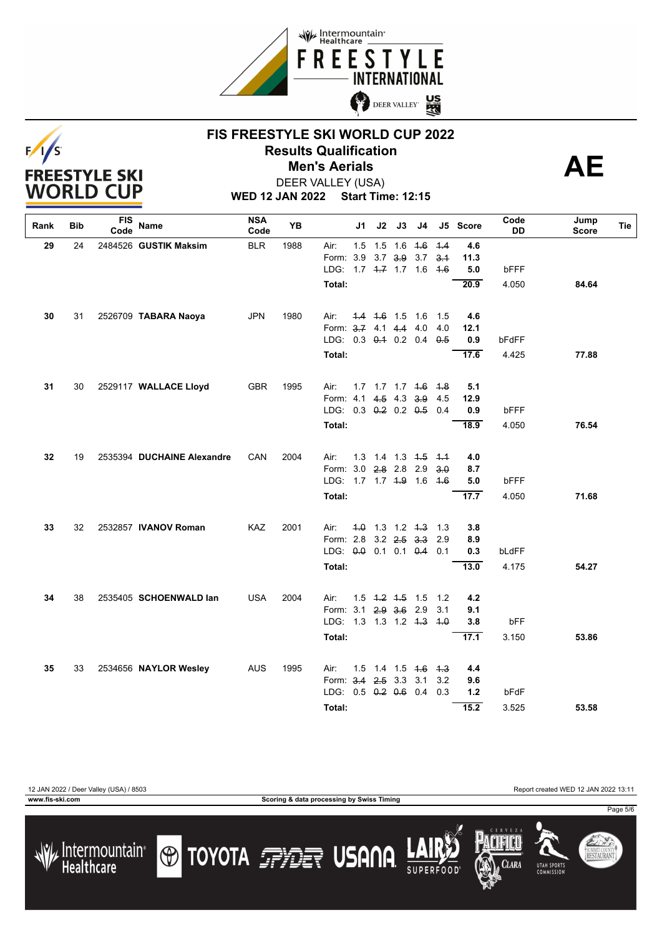

# $F/I/S$ **FREESTYLE SKI WORLD CUP**

### **FIS FREESTYLE SKI WORLD CUP 2022 Results Qualification**<br> **AE Men's Aerials**



**WED 12 JAN 2022 Start Time: 12:15** DEER VALLEY (USA)

| Rank | Bib | FIS<br>Code | Name                       | <b>NSA</b><br>Code | YΒ   |                          | J1  | J2        | J3                  | J4                             |     | J5 Score | Code<br>DD  | Jump<br><b>Score</b> | Tie |
|------|-----|-------------|----------------------------|--------------------|------|--------------------------|-----|-----------|---------------------|--------------------------------|-----|----------|-------------|----------------------|-----|
| 29   | 24  |             | 2484526 GUSTIK Maksim      | <b>BLR</b>         | 1988 | Air:                     | 1.5 |           | $1.5$ 1.6           | 4.6                            | 4.4 | 4.6      |             |                      |     |
|      |     |             |                            |                    |      | Form: 3.9                |     |           | $3.7$ $3.9$         | 3.7                            | 3.1 | 11.3     |             |                      |     |
|      |     |             |                            |                    |      | LDG: 1.7 4.7 1.7 1.6     |     |           |                     |                                | 4.6 | 5.0      | bFFF        |                      |     |
|      |     |             |                            |                    |      | Total:                   |     |           |                     |                                |     | 20.9     | 4.050       | 84.64                |     |
| 30   | 31  |             | 2526709 TABARA Naoya       | <b>JPN</b>         | 1980 | Air:                     |     |           | $4.4$ $4.6$ 1.5 1.6 |                                | 1.5 | 4.6      |             |                      |     |
|      |     |             |                            |                    |      | Form: 3.7 4.1 4.4 4.0    |     |           |                     |                                | 4.0 | 12.1     |             |                      |     |
|      |     |             |                            |                    |      | LDG: 0.3 0.4 0.2 0.4     |     |           |                     |                                | 0.5 | 0.9      | bFdFF       |                      |     |
|      |     |             |                            |                    |      | Total:                   |     |           |                     |                                |     | 17.6     | 4.425       | 77.88                |     |
| 31   | 30  |             | 2529117 WALLACE Lloyd      | <b>GBR</b>         | 1995 | Air:                     |     |           |                     | 1.7 1.7 1.7 4.6                | 4.8 | 5.1      |             |                      |     |
|      |     |             |                            |                    |      | Form: 4.1                |     |           | 4.5 4.3 3.9         |                                | 4.5 | 12.9     |             |                      |     |
|      |     |             |                            |                    |      | LDG: 0.3 0.2 0.2 0.5     |     |           |                     |                                | 0.4 | 0.9      | <b>bFFF</b> |                      |     |
|      |     |             |                            |                    |      | Total:                   |     |           |                     |                                |     | 18.9     | 4.050       | 76.54                |     |
| 32   | 19  |             | 2535394 DUCHAINE Alexandre | CAN                | 2004 | Air:                     |     |           |                     | 1.3 1.4 1.3 <del>1.5</del> 1.4 |     | 4.0      |             |                      |     |
|      |     |             |                            |                    |      | Form: 3.0 2.8 2.8 2.9    |     |           |                     |                                | 3.0 | 8.7      |             |                      |     |
|      |     |             |                            |                    |      | LDG: 1.7 1.7 4.9 1.6 4.6 |     |           |                     |                                |     | 5.0      | bFFF        |                      |     |
|      |     |             |                            |                    |      | Total:                   |     |           |                     |                                |     | 17.7     | 4.050       | 71.68                |     |
| 33   | 32  |             | 2532857 IVANOV Roman       | KAZ                | 2001 | Air:                     |     |           |                     | $4.0$ 1.3 1.2 4.3              | 1.3 | 3.8      |             |                      |     |
|      |     |             |                            |                    |      | Form: 2.8                |     |           |                     | $3.2$ $2.5$ $3.3$              | 2.9 | 8.9      |             |                      |     |
|      |     |             |                            |                    |      | LDG: 0.0 0.1 0.1 0.4     |     |           |                     |                                | 0.1 | 0.3      | bLdFF       |                      |     |
|      |     |             |                            |                    |      | Total:                   |     |           |                     |                                |     | 13.0     | 4.175       | 54.27                |     |
| 34   | 38  |             | 2535405 SCHOENWALD lan     | <b>USA</b>         | 2004 | Air:                     |     |           |                     | $1.5$ $1.2$ $1.5$ $1.5$        | 1.2 | 4.2      |             |                      |     |
|      |     |             |                            |                    |      | Form: 3.1 2.9 3.6 2.9    |     |           |                     |                                | 3.1 | 9.1      |             |                      |     |
|      |     |             |                            |                    |      | LDG: 1.3 1.3 1.2 4.3     |     |           |                     |                                | 4.0 | 3.8      | bFF         |                      |     |
|      |     |             |                            |                    |      | Total:                   |     |           |                     |                                |     | 17.1     | 3.150       | 53.86                |     |
| 35   | 33  |             | 2534656 NAYLOR Wesley      | <b>AUS</b>         | 1995 | Air:                     |     |           |                     | 1.5 1.4 1.5 <del>1.6</del>     | 4.3 | 4.4      |             |                      |     |
|      |     |             |                            |                    |      | Form: 3.4                |     | $2.5$ 3.3 |                     | 3.1                            | 3.2 | 9.6      |             |                      |     |
|      |     |             |                            |                    |      | LDG: 0.5 0.2 0.6 0.4     |     |           |                     |                                | 0.3 | 1.2      | bFdF        |                      |     |
|      |     |             |                            |                    |      | Total:                   |     |           |                     |                                |     | 15.2     | 3.525       | 53.58                |     |
|      |     |             |                            |                    |      |                          |     |           |                     |                                |     |          |             |                      |     |

12 JAN 2022 / Deer Valley (USA) / 8503 Report created WED 12 JAN 2022 13:11

/ Intermountain<br>Healthcare

**www.fis-ski.com Scoring & data processing by Swiss Timing**











Page 5/6